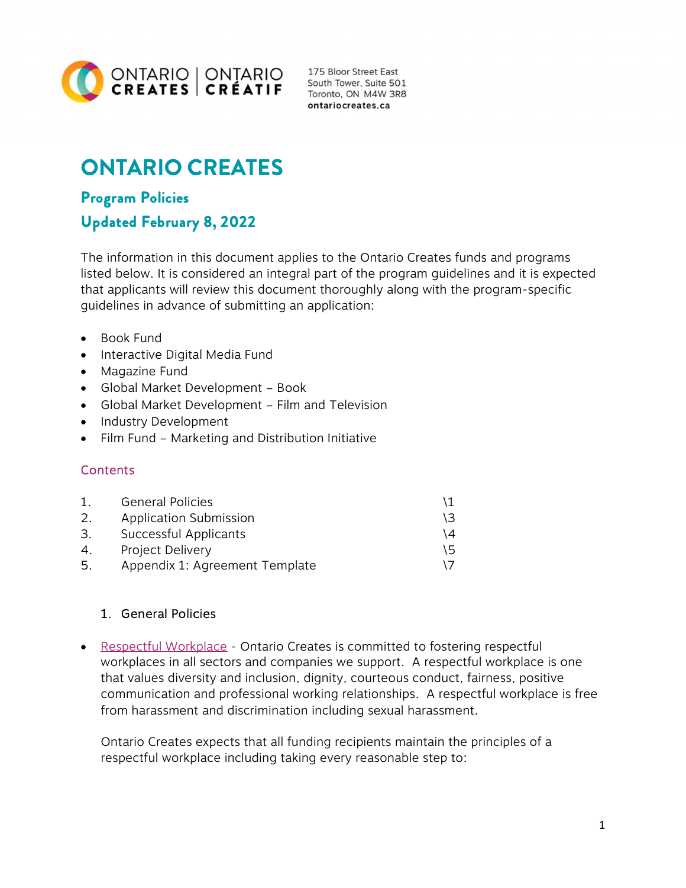

175 Bloor Street East South Tower, Suite 501 Toronto, ON M4W 3R8 ontariocreates.ca

# ONTARIO CREATES

# Program Policies Updated February 8, 2022

The information in this document applies to the Ontario Creates funds and programs listed below. It is considered an integral part of the program guidelines and it is expected that applicants will review this document thoroughly along with the program-specific guidelines in advance of submitting an application:

- Book Fund
- Interactive Digital Media Fund
- Magazine Fund
- Global Market Development Book
- Global Market Development Film and Television
- Industry Development
- Film Fund Marketing and Distribution Initiative

# **Contents**

|     | <b>General Policies</b>        |    |
|-----|--------------------------------|----|
| 2.  | Application Submission         | 13 |
| 3.  | Successful Applicants          |    |
| 4.  | Project Delivery               |    |
| -5. | Appendix 1: Agreement Template |    |

# 1. General Policies

• Respectful Workplace - Ontario Creates is committed to fostering respectful workplaces in all sectors and companies we support. A respectful workplace is one that values diversity and inclusion, dignity, courteous conduct, fairness, positive communication and professional working relationships. A respectful workplace is free from harassment and discrimination including sexual harassment.

Ontario Creates expects that all funding recipients maintain the principles of a respectful workplace including taking every reasonable step to: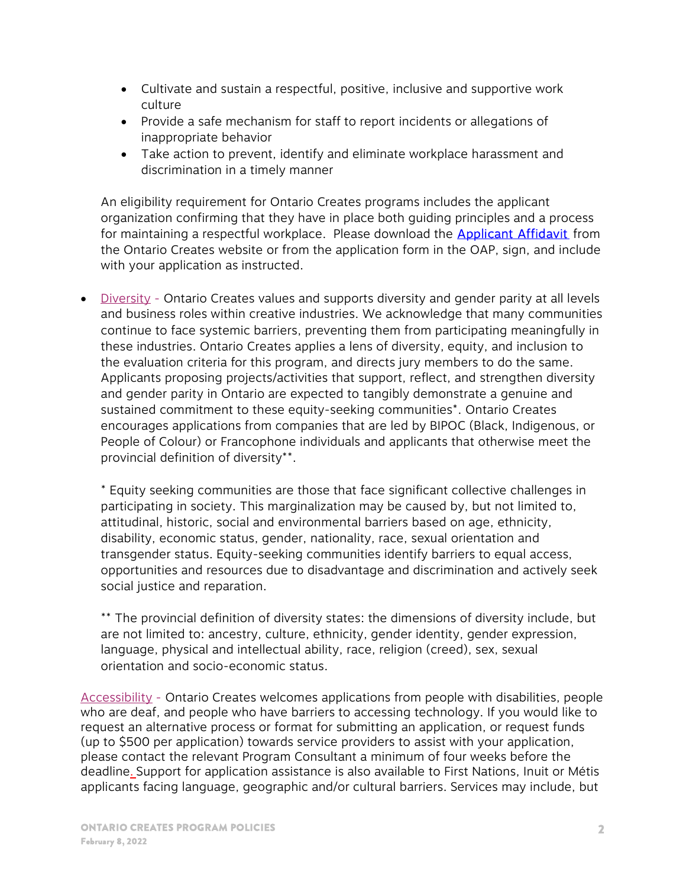- Cultivate and sustain a respectful, positive, inclusive and supportive work culture
- Provide a safe mechanism for staff to report incidents or allegations of inappropriate behavior
- Take action to prevent, identify and eliminate workplace harassment and discrimination in a timely manner

An eligibility requirement for Ontario Creates programs includes the applicant organization confirming that they have in place both guiding principles and a process for maintaining a respectful workplace. Please download the **Applicant Affidavit** from the Ontario Creates website or from the application form in the OAP, sign, and include with your application as instructed.

 Diversity - Ontario Creates values and supports diversity and gender parity at all levels and business roles within creative industries. We acknowledge that many communities continue to face systemic barriers, preventing them from participating meaningfully in these industries. Ontario Creates applies a lens of diversity, equity, and inclusion to the evaluation criteria for this program, and directs jury members to do the same. Applicants proposing projects/activities that support, reflect, and strengthen diversity and gender parity in Ontario are expected to tangibly demonstrate a genuine and sustained commitment to these equity-seeking communities\*. Ontario Creates encourages applications from companies that are led by BIPOC (Black, Indigenous, or People of Colour) or Francophone individuals and applicants that otherwise meet the provincial definition of diversity\*\*.

\* Equity seeking communities are those that face significant collective challenges in participating in society. This marginalization may be caused by, but not limited to, attitudinal, historic, social and environmental barriers based on age, ethnicity, disability, economic status, gender, nationality, race, sexual orientation and transgender status. Equity-seeking communities identify barriers to equal access, opportunities and resources due to disadvantage and discrimination and actively seek social justice and reparation.

\*\* The provincial definition of diversity states: the dimensions of diversity include, but are not limited to: ancestry, culture, ethnicity, gender identity, gender expression, language, physical and intellectual ability, race, religion (creed), sex, sexual orientation and socio-economic status.

Accessibility - Ontario Creates welcomes applications from people with disabilities, people who are deaf, and people who have barriers to accessing technology. If you would like to request an alternative process or format for submitting an application, or request funds (up to \$500 per application) towards service providers to assist with your application, please contact the relevant Program Consultant a minimum of four weeks before the deadline. Support for application assistance is also available to First Nations, Inuit or Métis applicants facing language, geographic and/or cultural barriers. Services may include, but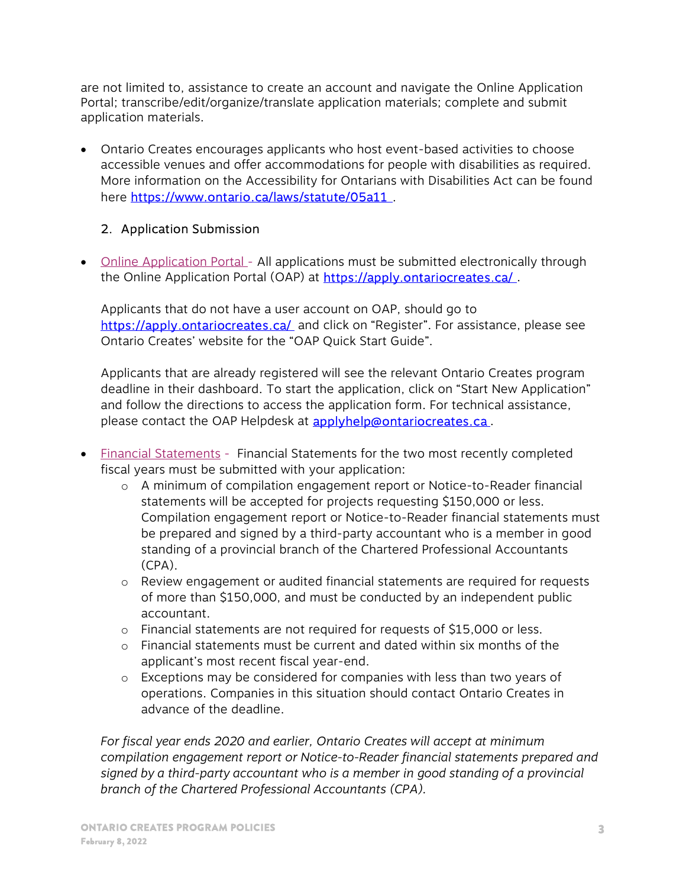are not limited to, assistance to create an account and navigate the Online Application Portal; transcribe/edit/organize/translate application materials; complete and submit application materials.

 Ontario Creates encourages applicants who host event-based activities to choose accessible venues and offer accommodations for people with disabilities as required. More information on the Accessibility for Ontarians with Disabilities Act can be found here https://www.ontario.ca/laws/statute/05a11.

# 2. Application Submission

• Online Application Portal - All applications must be submitted electronically through the Online Application Portal (OAP) at https://apply.ontariocreates.ca/.

Applicants that do not have a user account on OAP, should go to https://apply.ontariocreates.ca/ and click on "Register". For assistance, please see Ontario Creates' website for the "OAP Quick Start Guide".

Applicants that are already registered will see the relevant Ontario Creates program deadline in their dashboard. To start the application, click on "Start New Application" and follow the directions to access the application form. For technical assistance, please contact the OAP Helpdesk at **applyhelp@ontariocreates.ca**.

- Financial Statements Financial Statements for the two most recently completed fiscal years must be submitted with your application:
	- o A minimum of compilation engagement report or Notice-to-Reader financial statements will be accepted for projects requesting \$150,000 or less. Compilation engagement report or Notice-to-Reader financial statements must be prepared and signed by a third-party accountant who is a member in good standing of a provincial branch of the Chartered Professional Accountants (CPA).
	- o Review engagement or audited financial statements are required for requests of more than \$150,000, and must be conducted by an independent public accountant.
	- o Financial statements are not required for requests of \$15,000 or less.
	- o Financial statements must be current and dated within six months of the applicant's most recent fiscal year-end.
	- o Exceptions may be considered for companies with less than two years of operations. Companies in this situation should contact Ontario Creates in advance of the deadline.

For fiscal year ends 2020 and earlier, Ontario Creates will accept at minimum compilation engagement report or Notice-to-Reader financial statements prepared and signed by a third-party accountant who is a member in good standing of a provincial branch of the Chartered Professional Accountants (CPA).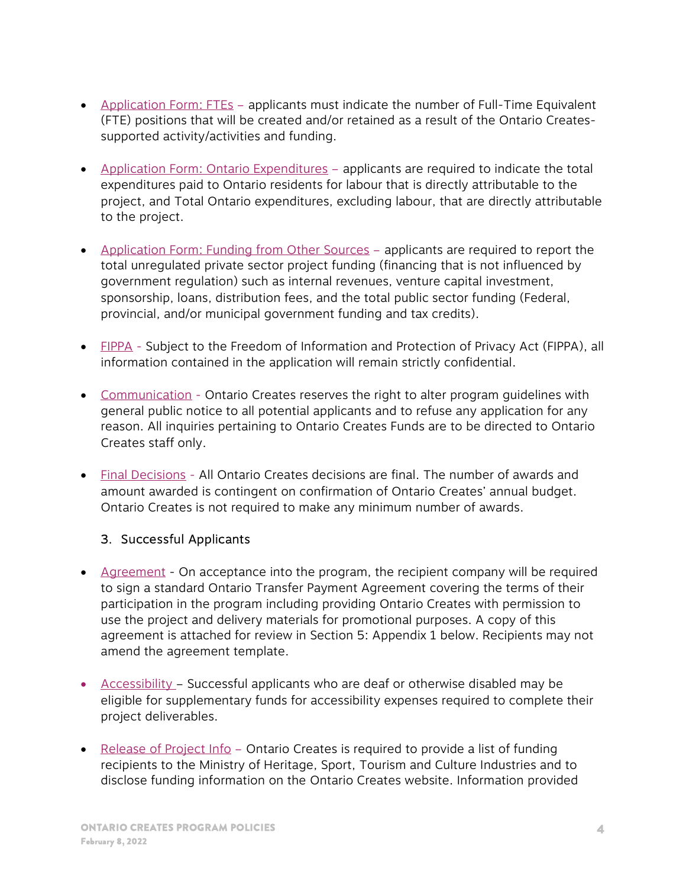- Application Form: FTEs applicants must indicate the number of Full-Time Equivalent (FTE) positions that will be created and/or retained as a result of the Ontario Createssupported activity/activities and funding.
- Application Form: Ontario Expenditures applicants are required to indicate the total expenditures paid to Ontario residents for labour that is directly attributable to the project, and Total Ontario expenditures, excluding labour, that are directly attributable to the project.
- Application Form: Funding from Other Sources applicants are required to report the total unregulated private sector project funding (financing that is not influenced by government regulation) such as internal revenues, venture capital investment, sponsorship, loans, distribution fees, and the total public sector funding (Federal, provincial, and/or municipal government funding and tax credits).
- FIPPA Subject to the Freedom of Information and Protection of Privacy Act (FIPPA), all information contained in the application will remain strictly confidential.
- Communication Ontario Creates reserves the right to alter program guidelines with general public notice to all potential applicants and to refuse any application for any reason. All inquiries pertaining to Ontario Creates Funds are to be directed to Ontario Creates staff only.
- Final Decisions All Ontario Creates decisions are final. The number of awards and amount awarded is contingent on confirmation of Ontario Creates' annual budget. Ontario Creates is not required to make any minimum number of awards.

# 3. Successful Applicants

- Agreement On acceptance into the program, the recipient company will be required to sign a standard Ontario Transfer Payment Agreement covering the terms of their participation in the program including providing Ontario Creates with permission to use the project and delivery materials for promotional purposes. A copy of this agreement is attached for review in Section 5: Appendix 1 below. Recipients may not amend the agreement template.
- Accessibility Successful applicants who are deaf or otherwise disabled may be eligible for supplementary funds for accessibility expenses required to complete their project deliverables.
- Release of Project Info Ontario Creates is required to provide a list of funding recipients to the Ministry of Heritage, Sport, Tourism and Culture Industries and to disclose funding information on the Ontario Creates website. Information provided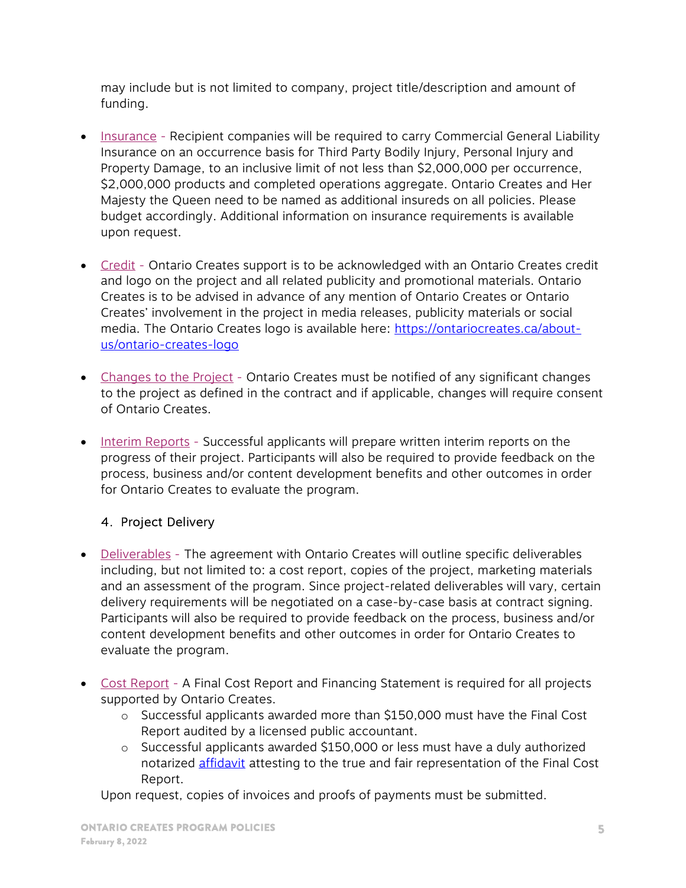may include but is not limited to company, project title/description and amount of funding.

- Insurance Recipient companies will be required to carry Commercial General Liability Insurance on an occurrence basis for Third Party Bodily Injury, Personal Injury and Property Damage, to an inclusive limit of not less than \$2,000,000 per occurrence, \$2,000,000 products and completed operations aggregate. Ontario Creates and Her Majesty the Queen need to be named as additional insureds on all policies. Please budget accordingly. Additional information on insurance requirements is available upon request.
- Credit Ontario Creates support is to be acknowledged with an Ontario Creates credit and logo on the project and all related publicity and promotional materials. Ontario Creates is to be advised in advance of any mention of Ontario Creates or Ontario Creates' involvement in the project in media releases, publicity materials or social media. The Ontario Creates logo is available here: https://ontariocreates.ca/aboutus/ontario-creates-logo
- Changes to the Project Ontario Creates must be notified of any significant changes to the project as defined in the contract and if applicable, changes will require consent of Ontario Creates.
- Interim Reports Successful applicants will prepare written interim reports on the progress of their project. Participants will also be required to provide feedback on the process, business and/or content development benefits and other outcomes in order for Ontario Creates to evaluate the program.

# 4. Project Delivery

- Deliverables The agreement with Ontario Creates will outline specific deliverables including, but not limited to: a cost report, copies of the project, marketing materials and an assessment of the program. Since project-related deliverables will vary, certain delivery requirements will be negotiated on a case-by-case basis at contract signing. Participants will also be required to provide feedback on the process, business and/or content development benefits and other outcomes in order for Ontario Creates to evaluate the program.
- Cost Report A Final Cost Report and Financing Statement is required for all projects supported by Ontario Creates.
	- o Successful applicants awarded more than \$150,000 must have the Final Cost Report audited by a licensed public accountant.
	- o Successful applicants awarded \$150,000 or less must have a duly authorized notarized [affidavit](https://ontariocreates.ca/uploads/industry_initiatives/eng/affidavit-for-final-cost-report.pdf) attesting to the true and fair representation of the Final Cost Report.

Upon request, copies of invoices and proofs of payments must be submitted.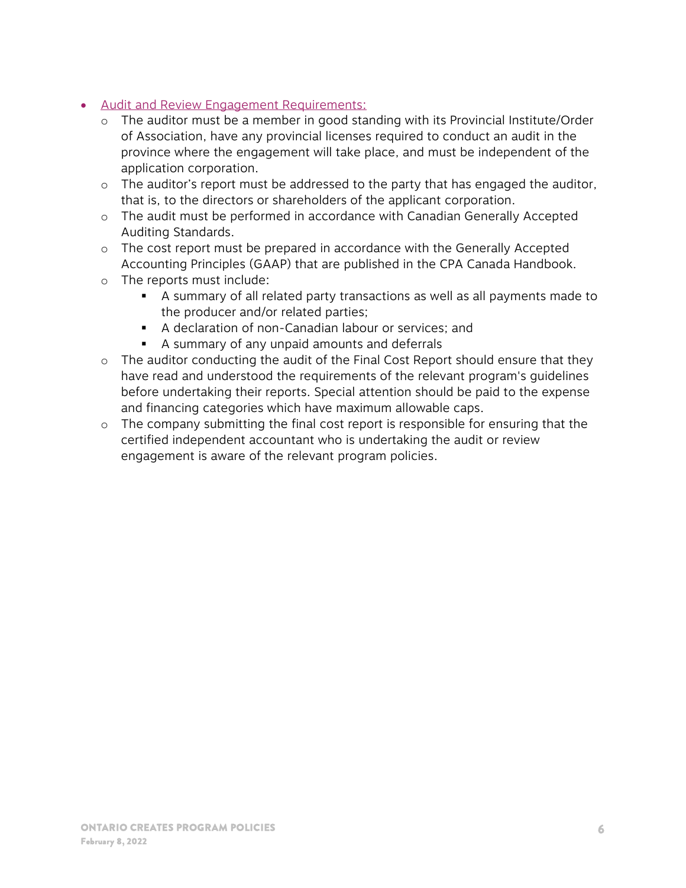- Audit and Review Engagement Requirements:
	- o The auditor must be a member in good standing with its Provincial Institute/Order of Association, have any provincial licenses required to conduct an audit in the province where the engagement will take place, and must be independent of the application corporation.
	- o The auditor's report must be addressed to the party that has engaged the auditor, that is, to the directors or shareholders of the applicant corporation.
	- o The audit must be performed in accordance with Canadian Generally Accepted Auditing Standards.
	- o The cost report must be prepared in accordance with the Generally Accepted Accounting Principles (GAAP) that are published in the CPA Canada Handbook.
	- o The reports must include:
		- A summary of all related party transactions as well as all payments made to the producer and/or related parties;
		- A declaration of non-Canadian labour or services; and
		- A summary of any unpaid amounts and deferrals
	- o The auditor conducting the audit of the Final Cost Report should ensure that they have read and understood the requirements of the relevant program's guidelines before undertaking their reports. Special attention should be paid to the expense and financing categories which have maximum allowable caps.
	- o The company submitting the final cost report is responsible for ensuring that the certified independent accountant who is undertaking the audit or review engagement is aware of the relevant program policies.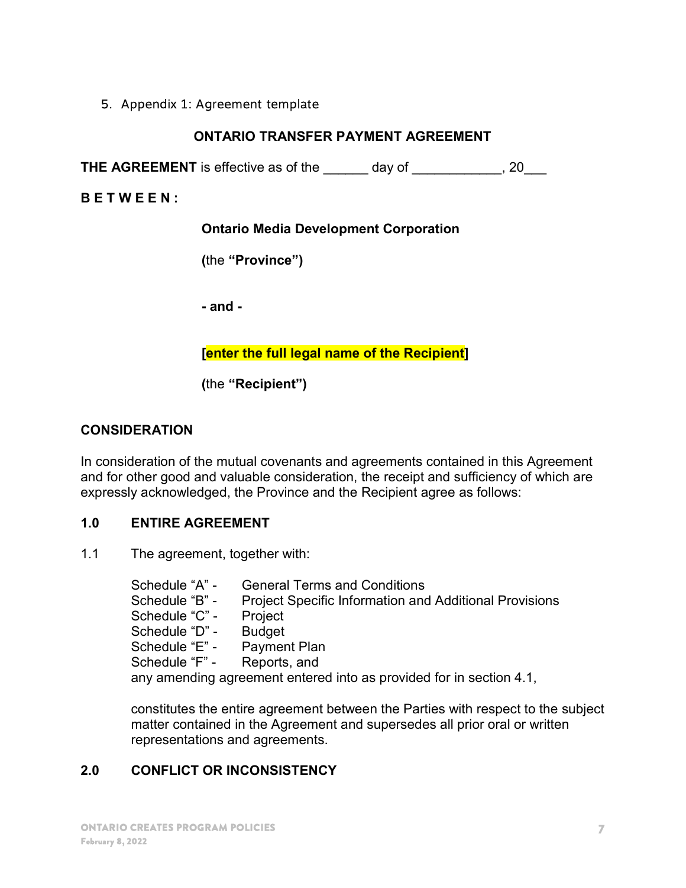#### 5. Appendix 1: Agreement template

#### ONTARIO TRANSFER PAYMENT AGREEMENT

THE AGREEMENT is effective as of the \_\_\_\_\_\_ day of \_\_\_\_\_\_\_\_\_\_, 20\_\_\_

B E T W E E N :

Ontario Media Development Corporation

(the "Province")

- and -

#### [enter the full legal name of the Recipient]

(the "Recipient")

#### **CONSIDERATION**

In consideration of the mutual covenants and agreements contained in this Agreement and for other good and valuable consideration, the receipt and sufficiency of which are expressly acknowledged, the Province and the Recipient agree as follows:

#### 1.0 ENTIRE AGREEMENT

1.1 The agreement, together with:

Schedule "A" - General Terms and Conditions Schedule "B" - Project Specific Information and Additional Provisions Schedule "C" - Project Schedule "D" - Budget Schedule "E" - Payment Plan Schedule "F" - Reports, and any amending agreement entered into as provided for in section 4.1,

constitutes the entire agreement between the Parties with respect to the subject matter contained in the Agreement and supersedes all prior oral or written representations and agreements.

# 2.0 CONFLICT OR INCONSISTENCY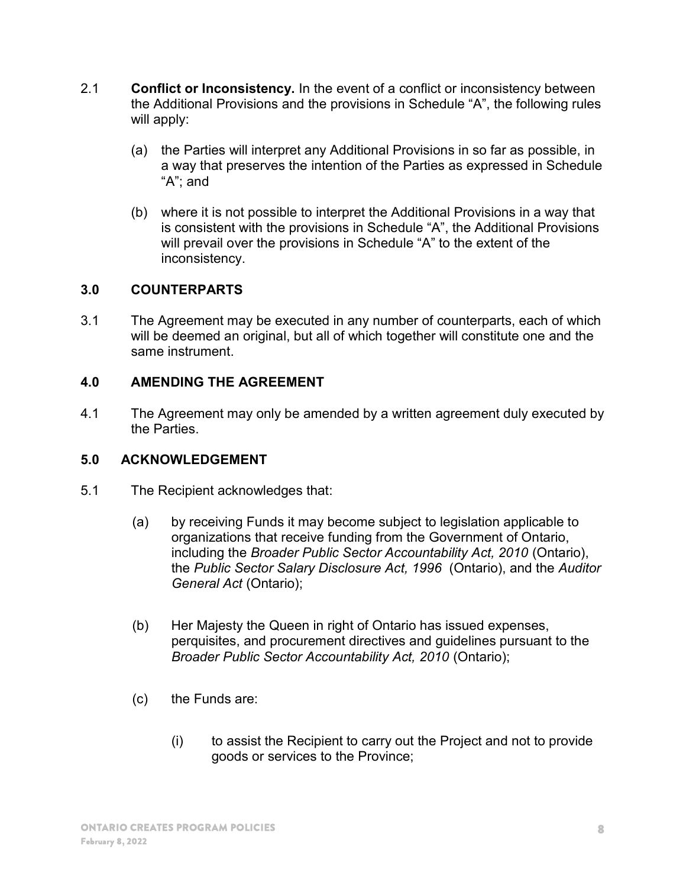- 2.1 Conflict or Inconsistency. In the event of a conflict or inconsistency between the Additional Provisions and the provisions in Schedule "A", the following rules will apply:
	- (a) the Parties will interpret any Additional Provisions in so far as possible, in a way that preserves the intention of the Parties as expressed in Schedule "A"; and
	- (b) where it is not possible to interpret the Additional Provisions in a way that is consistent with the provisions in Schedule "A", the Additional Provisions will prevail over the provisions in Schedule "A" to the extent of the inconsistency.

# 3.0 COUNTERPARTS

3.1 The Agreement may be executed in any number of counterparts, each of which will be deemed an original, but all of which together will constitute one and the same instrument.

#### 4.0 AMENDING THE AGREEMENT

4.1 The Agreement may only be amended by a written agreement duly executed by the Parties.

#### 5.0 ACKNOWLEDGEMENT

- 5.1 The Recipient acknowledges that:
	- (a) by receiving Funds it may become subject to legislation applicable to organizations that receive funding from the Government of Ontario, including the Broader Public Sector Accountability Act, 2010 (Ontario), the Public Sector Salary Disclosure Act, 1996 (Ontario), and the Auditor General Act (Ontario);
	- (b) Her Majesty the Queen in right of Ontario has issued expenses, perquisites, and procurement directives and guidelines pursuant to the Broader Public Sector Accountability Act, 2010 (Ontario);
	- (c) the Funds are:
		- (i) to assist the Recipient to carry out the Project and not to provide goods or services to the Province;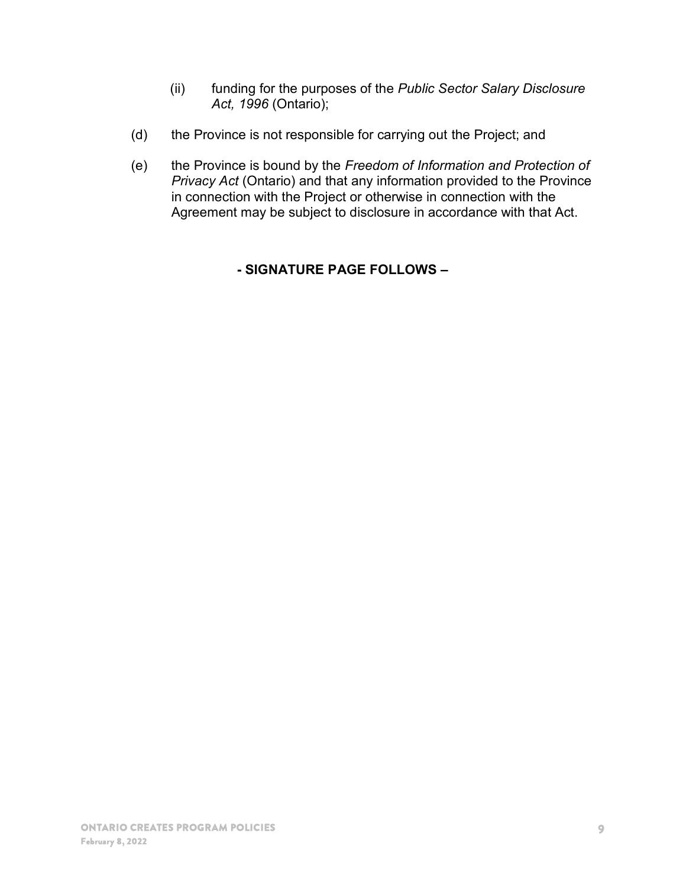- (ii) funding for the purposes of the Public Sector Salary Disclosure Act, 1996 (Ontario);
- (d) the Province is not responsible for carrying out the Project; and
- (e) the Province is bound by the Freedom of Information and Protection of **Privacy Act (Ontario) and that any information provided to the Province** in connection with the Project or otherwise in connection with the Agreement may be subject to disclosure in accordance with that Act.

# - SIGNATURE PAGE FOLLOWS –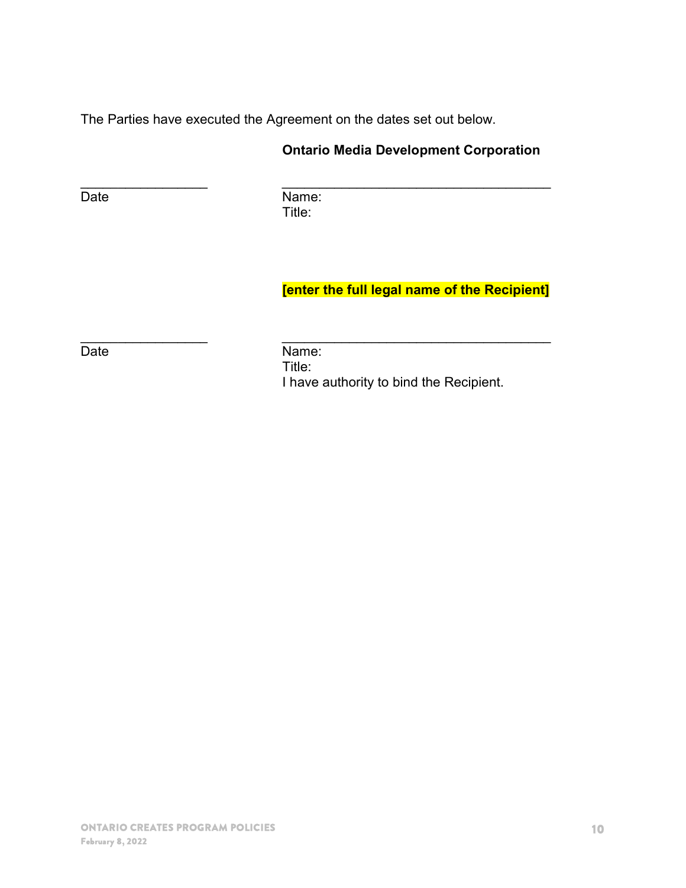The Parties have executed the Agreement on the dates set out below.

# Ontario Media Development Corporation

Date **Name:** Title:

 $\frac{1}{2}$  ,  $\frac{1}{2}$  ,  $\frac{1}{2}$  ,  $\frac{1}{2}$  ,  $\frac{1}{2}$  ,  $\frac{1}{2}$  ,  $\frac{1}{2}$  ,  $\frac{1}{2}$  ,  $\frac{1}{2}$  ,  $\frac{1}{2}$  ,  $\frac{1}{2}$  ,  $\frac{1}{2}$  ,  $\frac{1}{2}$  ,  $\frac{1}{2}$  ,  $\frac{1}{2}$  ,  $\frac{1}{2}$  ,  $\frac{1}{2}$  ,  $\frac{1}{2}$  ,  $\frac{1$ 

 $\frac{1}{2}$  ,  $\frac{1}{2}$  ,  $\frac{1}{2}$  ,  $\frac{1}{2}$  ,  $\frac{1}{2}$  ,  $\frac{1}{2}$  ,  $\frac{1}{2}$  ,  $\frac{1}{2}$  ,  $\frac{1}{2}$  ,  $\frac{1}{2}$  ,  $\frac{1}{2}$  ,  $\frac{1}{2}$  ,  $\frac{1}{2}$  ,  $\frac{1}{2}$  ,  $\frac{1}{2}$  ,  $\frac{1}{2}$  ,  $\frac{1}{2}$  ,  $\frac{1}{2}$  ,  $\frac{1$ 

# [enter the full legal name of the Recipient]

Date **Name:**  Title: I have authority to bind the Recipient.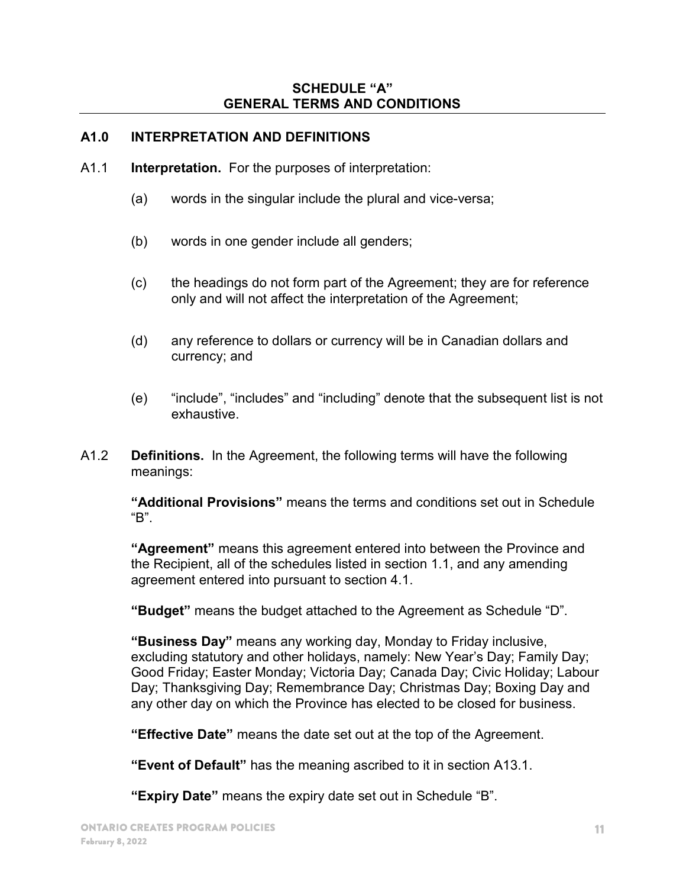#### SCHEDULE "A" GENERAL TERMS AND CONDITIONS

#### A1.0 INTERPRETATION AND DEFINITIONS

- A1.1 Interpretation. For the purposes of interpretation:
	- (a) words in the singular include the plural and vice-versa;
	- (b) words in one gender include all genders;
	- (c) the headings do not form part of the Agreement; they are for reference only and will not affect the interpretation of the Agreement;
	- (d) any reference to dollars or currency will be in Canadian dollars and currency; and
	- (e) "include", "includes" and "including" denote that the subsequent list is not exhaustive.
- A1.2 Definitions. In the Agreement, the following terms will have the following meanings:

"Additional Provisions" means the terms and conditions set out in Schedule "B".

"Agreement" means this agreement entered into between the Province and the Recipient, all of the schedules listed in section 1.1, and any amending agreement entered into pursuant to section 4.1.

"Budget" means the budget attached to the Agreement as Schedule "D".

"Business Day" means any working day, Monday to Friday inclusive, excluding statutory and other holidays, namely: New Year's Day; Family Day; Good Friday; Easter Monday; Victoria Day; Canada Day; Civic Holiday; Labour Day; Thanksgiving Day; Remembrance Day; Christmas Day; Boxing Day and any other day on which the Province has elected to be closed for business.

"Effective Date" means the date set out at the top of the Agreement.

"Event of Default" has the meaning ascribed to it in section A13.1.

"Expiry Date" means the expiry date set out in Schedule "B".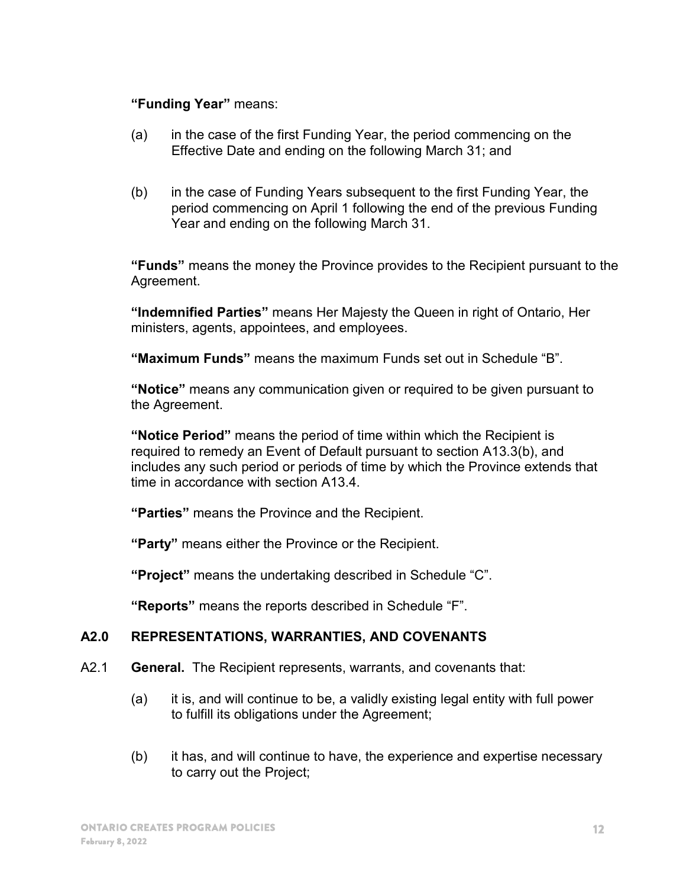#### "Funding Year" means:

- (a) in the case of the first Funding Year, the period commencing on the Effective Date and ending on the following March 31; and
- (b) in the case of Funding Years subsequent to the first Funding Year, the period commencing on April 1 following the end of the previous Funding Year and ending on the following March 31.

"Funds" means the money the Province provides to the Recipient pursuant to the Agreement.

"Indemnified Parties" means Her Majesty the Queen in right of Ontario, Her ministers, agents, appointees, and employees.

"Maximum Funds" means the maximum Funds set out in Schedule "B".

"Notice" means any communication given or required to be given pursuant to the Agreement.

"Notice Period" means the period of time within which the Recipient is required to remedy an Event of Default pursuant to section A13.3(b), and includes any such period or periods of time by which the Province extends that time in accordance with section A13.4.

"Parties" means the Province and the Recipient.

"Party" means either the Province or the Recipient.

"Project" means the undertaking described in Schedule "C".

"Reports" means the reports described in Schedule "F".

#### A2.0 REPRESENTATIONS, WARRANTIES, AND COVENANTS

- A2.1 General. The Recipient represents, warrants, and covenants that:
	- (a) it is, and will continue to be, a validly existing legal entity with full power to fulfill its obligations under the Agreement;
	- (b) it has, and will continue to have, the experience and expertise necessary to carry out the Project;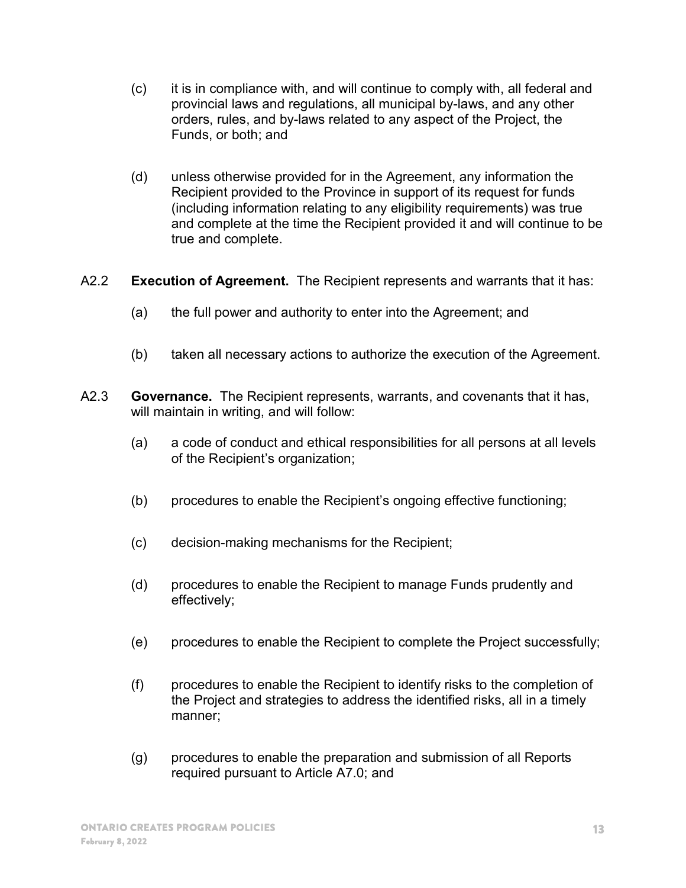- (c) it is in compliance with, and will continue to comply with, all federal and provincial laws and regulations, all municipal by-laws, and any other orders, rules, and by-laws related to any aspect of the Project, the Funds, or both; and
- (d) unless otherwise provided for in the Agreement, any information the Recipient provided to the Province in support of its request for funds (including information relating to any eligibility requirements) was true and complete at the time the Recipient provided it and will continue to be true and complete.
- A2.2 Execution of Agreement. The Recipient represents and warrants that it has:
	- (a) the full power and authority to enter into the Agreement; and
	- (b) taken all necessary actions to authorize the execution of the Agreement.
- A2.3 Governance. The Recipient represents, warrants, and covenants that it has, will maintain in writing, and will follow:
	- (a) a code of conduct and ethical responsibilities for all persons at all levels of the Recipient's organization;
	- (b) procedures to enable the Recipient's ongoing effective functioning;
	- (c) decision-making mechanisms for the Recipient;
	- (d) procedures to enable the Recipient to manage Funds prudently and effectively;
	- (e) procedures to enable the Recipient to complete the Project successfully;
	- (f) procedures to enable the Recipient to identify risks to the completion of the Project and strategies to address the identified risks, all in a timely manner;
	- (g) procedures to enable the preparation and submission of all Reports required pursuant to Article A7.0; and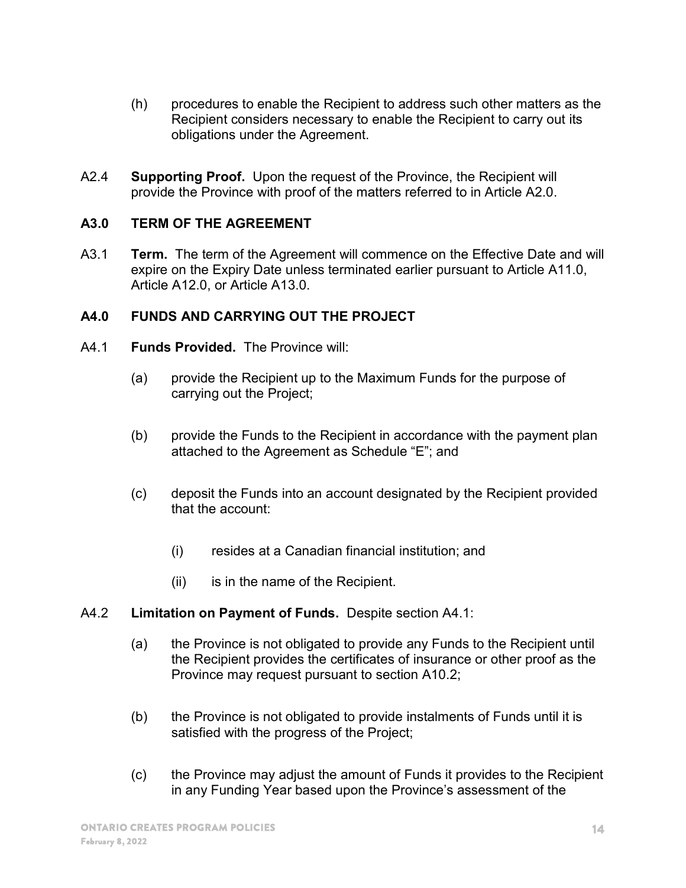- (h) procedures to enable the Recipient to address such other matters as the Recipient considers necessary to enable the Recipient to carry out its obligations under the Agreement.
- A2.4 Supporting Proof. Upon the request of the Province, the Recipient will provide the Province with proof of the matters referred to in Article A2.0.

#### A3.0 TERM OF THE AGREEMENT

A3.1 **Term.** The term of the Agreement will commence on the Effective Date and will expire on the Expiry Date unless terminated earlier pursuant to Article A11.0, Article A12.0, or Article A13.0.

# A4.0 FUNDS AND CARRYING OUT THE PROJECT

- A4.1 Funds Provided. The Province will:
	- (a) provide the Recipient up to the Maximum Funds for the purpose of carrying out the Project;
	- (b) provide the Funds to the Recipient in accordance with the payment plan attached to the Agreement as Schedule "E"; and
	- (c) deposit the Funds into an account designated by the Recipient provided that the account:
		- (i) resides at a Canadian financial institution; and
		- (ii) is in the name of the Recipient.
- A4.2 Limitation on Payment of Funds. Despite section A4.1:
	- (a) the Province is not obligated to provide any Funds to the Recipient until the Recipient provides the certificates of insurance or other proof as the Province may request pursuant to section A10.2;
	- (b) the Province is not obligated to provide instalments of Funds until it is satisfied with the progress of the Project;
	- (c) the Province may adjust the amount of Funds it provides to the Recipient in any Funding Year based upon the Province's assessment of the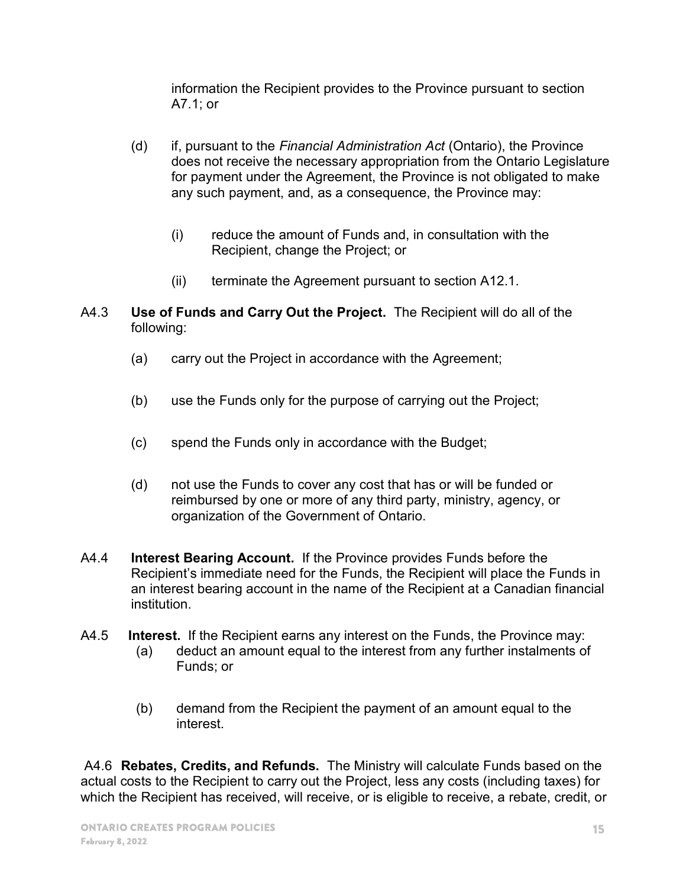information the Recipient provides to the Province pursuant to section A7.1; or

- (d) if, pursuant to the Financial Administration Act (Ontario), the Province does not receive the necessary appropriation from the Ontario Legislature for payment under the Agreement, the Province is not obligated to make any such payment, and, as a consequence, the Province may:
	- (i) reduce the amount of Funds and, in consultation with the Recipient, change the Project; or
	- (ii) terminate the Agreement pursuant to section A12.1.
- A4.3 Use of Funds and Carry Out the Project. The Recipient will do all of the following:
	- (a) carry out the Project in accordance with the Agreement;
	- (b) use the Funds only for the purpose of carrying out the Project;
	- (c) spend the Funds only in accordance with the Budget;
	- (d) not use the Funds to cover any cost that has or will be funded or reimbursed by one or more of any third party, ministry, agency, or organization of the Government of Ontario.
- A4.4 Interest Bearing Account. If the Province provides Funds before the Recipient's immediate need for the Funds, the Recipient will place the Funds in an interest bearing account in the name of the Recipient at a Canadian financial institution.
- A4.5 Interest. If the Recipient earns any interest on the Funds, the Province may:
	- (a) deduct an amount equal to the interest from any further instalments of Funds; or
	- (b) demand from the Recipient the payment of an amount equal to the interest.

 A4.6 Rebates, Credits, and Refunds. The Ministry will calculate Funds based on the actual costs to the Recipient to carry out the Project, less any costs (including taxes) for which the Recipient has received, will receive, or is eligible to receive, a rebate, credit, or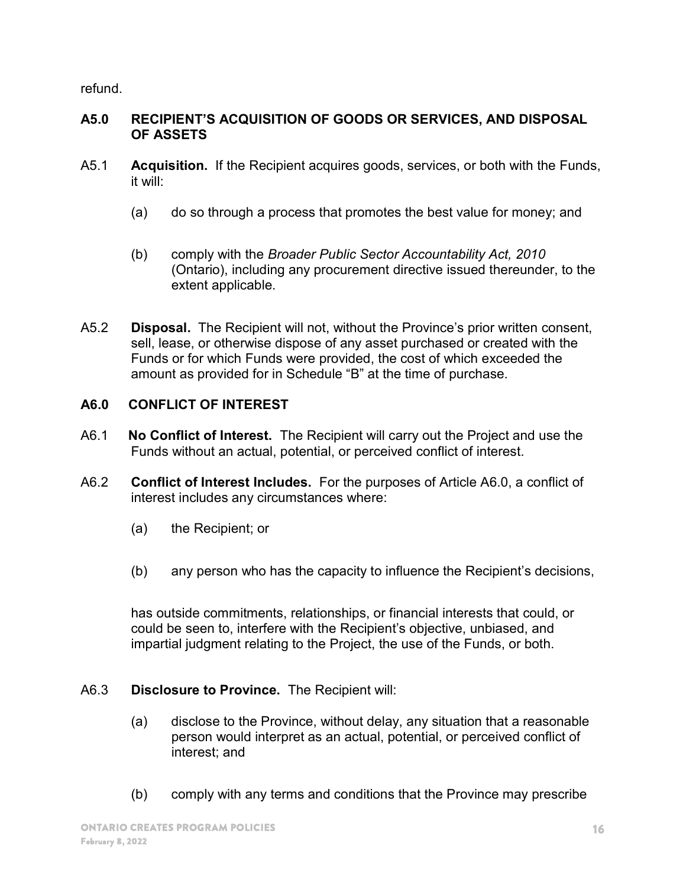refund.

#### A5.0 RECIPIENT'S ACQUISITION OF GOODS OR SERVICES, AND DISPOSAL OF ASSETS

- A5.1 **Acquisition.** If the Recipient acquires goods, services, or both with the Funds, it will:
	- (a) do so through a process that promotes the best value for money; and
	- (b) comply with the Broader Public Sector Accountability Act, 2010 (Ontario), including any procurement directive issued thereunder, to the extent applicable.
- A5.2 **Disposal.** The Recipient will not, without the Province's prior written consent, sell, lease, or otherwise dispose of any asset purchased or created with the Funds or for which Funds were provided, the cost of which exceeded the amount as provided for in Schedule "B" at the time of purchase.

# A6.0 CONFLICT OF INTEREST

- A6.1 **No Conflict of Interest.** The Recipient will carry out the Project and use the Funds without an actual, potential, or perceived conflict of interest.
- A6.2 Conflict of Interest Includes. For the purposes of Article A6.0, a conflict of interest includes any circumstances where:
	- (a) the Recipient; or
	- (b) any person who has the capacity to influence the Recipient's decisions,

has outside commitments, relationships, or financial interests that could, or could be seen to, interfere with the Recipient's objective, unbiased, and impartial judgment relating to the Project, the use of the Funds, or both.

# A6.3 Disclosure to Province. The Recipient will:

- (a) disclose to the Province, without delay, any situation that a reasonable person would interpret as an actual, potential, or perceived conflict of interest; and
- (b) comply with any terms and conditions that the Province may prescribe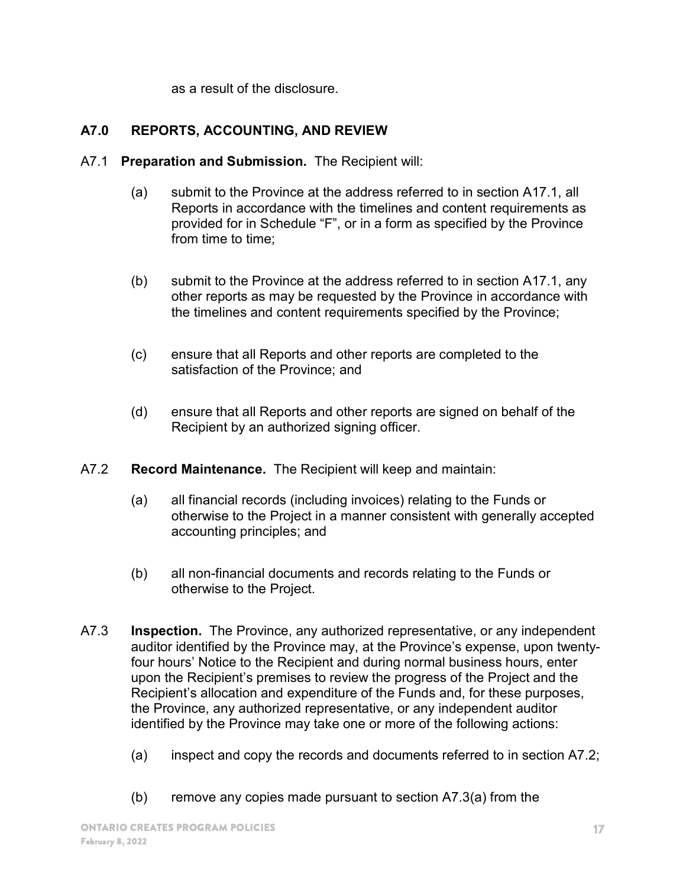as a result of the disclosure.

# A7.0 REPORTS, ACCOUNTING, AND REVIEW

- A7.1 Preparation and Submission. The Recipient will:
	- (a) submit to the Province at the address referred to in section A17.1, all Reports in accordance with the timelines and content requirements as provided for in Schedule "F", or in a form as specified by the Province from time to time;
	- (b) submit to the Province at the address referred to in section A17.1, any other reports as may be requested by the Province in accordance with the timelines and content requirements specified by the Province;
	- (c) ensure that all Reports and other reports are completed to the satisfaction of the Province; and
	- (d) ensure that all Reports and other reports are signed on behalf of the Recipient by an authorized signing officer.
- A7.2 Record Maintenance. The Recipient will keep and maintain:
	- (a) all financial records (including invoices) relating to the Funds or otherwise to the Project in a manner consistent with generally accepted accounting principles; and
	- (b) all non-financial documents and records relating to the Funds or otherwise to the Project.
- A7.3 Inspection. The Province, any authorized representative, or any independent auditor identified by the Province may, at the Province's expense, upon twentyfour hours' Notice to the Recipient and during normal business hours, enter upon the Recipient's premises to review the progress of the Project and the Recipient's allocation and expenditure of the Funds and, for these purposes, the Province, any authorized representative, or any independent auditor identified by the Province may take one or more of the following actions:
	- (a) inspect and copy the records and documents referred to in section A7.2;
	- (b) remove any copies made pursuant to section A7.3(a) from the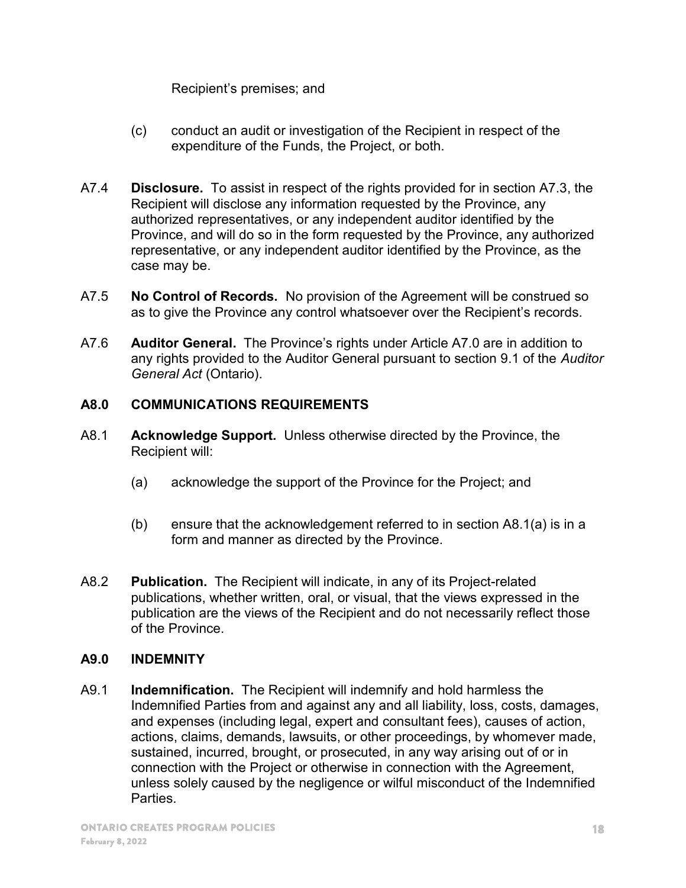Recipient's premises; and

- (c) conduct an audit or investigation of the Recipient in respect of the expenditure of the Funds, the Project, or both.
- A7.4 **Disclosure.** To assist in respect of the rights provided for in section A7.3, the Recipient will disclose any information requested by the Province, any authorized representatives, or any independent auditor identified by the Province, and will do so in the form requested by the Province, any authorized representative, or any independent auditor identified by the Province, as the case may be.
- A7.5 No Control of Records. No provision of the Agreement will be construed so as to give the Province any control whatsoever over the Recipient's records.
- A7.6 **Auditor General.** The Province's rights under Article A7.0 are in addition to any rights provided to the Auditor General pursuant to section 9.1 of the Auditor General Act (Ontario).

# A8.0 COMMUNICATIONS REQUIREMENTS

- A8.1 Acknowledge Support. Unless otherwise directed by the Province, the Recipient will:
	- (a) acknowledge the support of the Province for the Project; and
	- (b) ensure that the acknowledgement referred to in section A8.1(a) is in a form and manner as directed by the Province.
- A8.2 Publication. The Recipient will indicate, in any of its Project-related publications, whether written, oral, or visual, that the views expressed in the publication are the views of the Recipient and do not necessarily reflect those of the Province.

# A9.0 INDEMNITY

A9.1 Indemnification. The Recipient will indemnify and hold harmless the Indemnified Parties from and against any and all liability, loss, costs, damages, and expenses (including legal, expert and consultant fees), causes of action, actions, claims, demands, lawsuits, or other proceedings, by whomever made, sustained, incurred, brought, or prosecuted, in any way arising out of or in connection with the Project or otherwise in connection with the Agreement, unless solely caused by the negligence or wilful misconduct of the Indemnified Parties.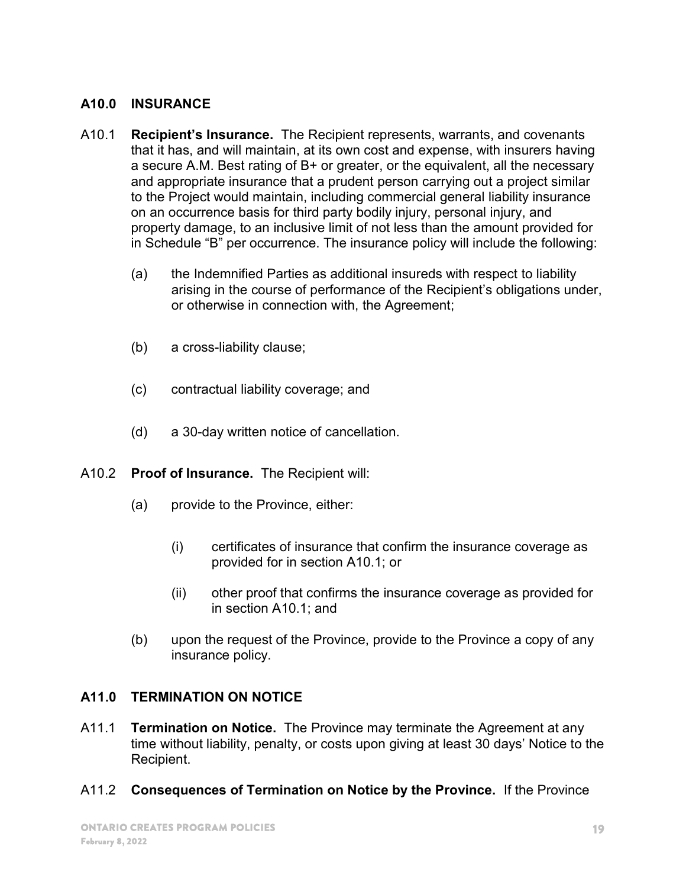#### A10.0 INSURANCE

- A10.1 **Recipient's Insurance.** The Recipient represents, warrants, and covenants that it has, and will maintain, at its own cost and expense, with insurers having a secure A.M. Best rating of B+ or greater, or the equivalent, all the necessary and appropriate insurance that a prudent person carrying out a project similar to the Project would maintain, including commercial general liability insurance on an occurrence basis for third party bodily injury, personal injury, and property damage, to an inclusive limit of not less than the amount provided for in Schedule "B" per occurrence. The insurance policy will include the following:
	- (a) the Indemnified Parties as additional insureds with respect to liability arising in the course of performance of the Recipient's obligations under, or otherwise in connection with, the Agreement;
	- (b) a cross-liability clause;
	- (c) contractual liability coverage; and
	- (d) a 30-day written notice of cancellation.
- A10.2 Proof of Insurance. The Recipient will:
	- (a) provide to the Province, either:
		- (i) certificates of insurance that confirm the insurance coverage as provided for in section A10.1; or
		- (ii) other proof that confirms the insurance coverage as provided for in section A10.1; and
	- (b) upon the request of the Province, provide to the Province a copy of any insurance policy.

# A11.0 TERMINATION ON NOTICE

- A11.1 **Termination on Notice.** The Province may terminate the Agreement at any time without liability, penalty, or costs upon giving at least 30 days' Notice to the Recipient.
- A11.2 Consequences of Termination on Notice by the Province. If the Province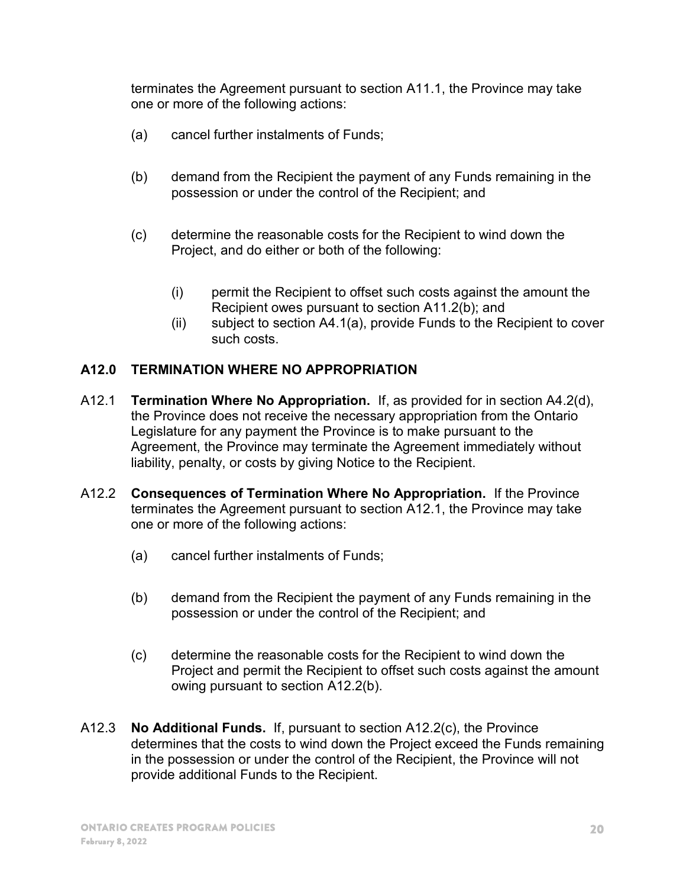terminates the Agreement pursuant to section A11.1, the Province may take one or more of the following actions:

- (a) cancel further instalments of Funds;
- (b) demand from the Recipient the payment of any Funds remaining in the possession or under the control of the Recipient; and
- (c) determine the reasonable costs for the Recipient to wind down the Project, and do either or both of the following:
	- (i) permit the Recipient to offset such costs against the amount the Recipient owes pursuant to section A11.2(b); and
	- (ii) subject to section A4.1(a), provide Funds to the Recipient to cover such costs.

# A12.0 TERMINATION WHERE NO APPROPRIATION

- A12.1 **Termination Where No Appropriation.** If, as provided for in section A4.2(d), the Province does not receive the necessary appropriation from the Ontario Legislature for any payment the Province is to make pursuant to the Agreement, the Province may terminate the Agreement immediately without liability, penalty, or costs by giving Notice to the Recipient.
- A12.2 Consequences of Termination Where No Appropriation. If the Province terminates the Agreement pursuant to section A12.1, the Province may take one or more of the following actions:
	- (a) cancel further instalments of Funds;
	- (b) demand from the Recipient the payment of any Funds remaining in the possession or under the control of the Recipient; and
	- (c) determine the reasonable costs for the Recipient to wind down the Project and permit the Recipient to offset such costs against the amount owing pursuant to section A12.2(b).
- A12.3 No Additional Funds. If, pursuant to section A12.2(c), the Province determines that the costs to wind down the Project exceed the Funds remaining in the possession or under the control of the Recipient, the Province will not provide additional Funds to the Recipient.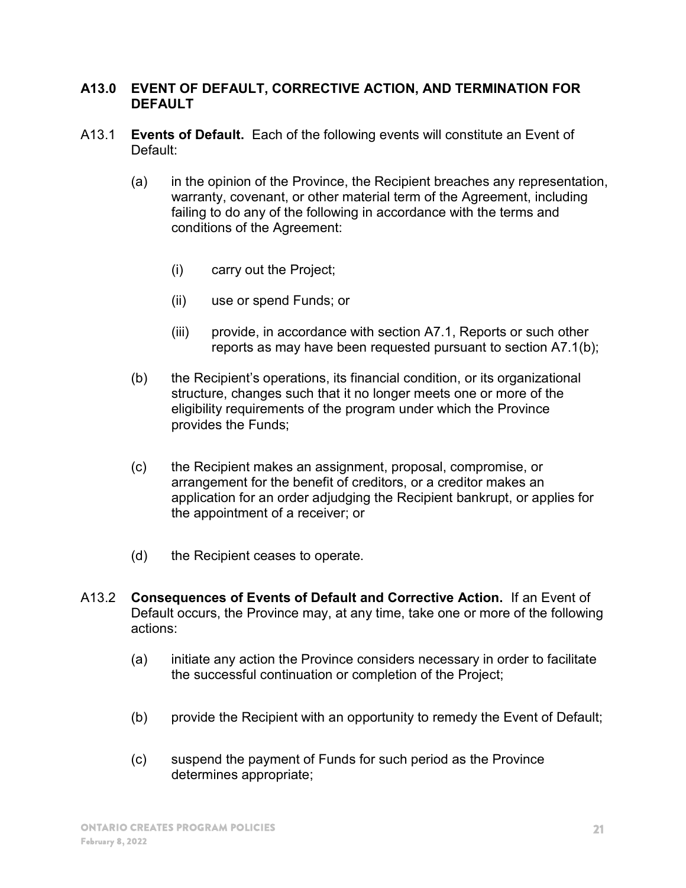#### A13.0 EVENT OF DEFAULT, CORRECTIVE ACTION, AND TERMINATION FOR DEFAULT

- A13.1 Events of Default. Each of the following events will constitute an Event of Default:
	- (a) in the opinion of the Province, the Recipient breaches any representation, warranty, covenant, or other material term of the Agreement, including failing to do any of the following in accordance with the terms and conditions of the Agreement:
		- (i) carry out the Project;
		- (ii) use or spend Funds; or
		- (iii) provide, in accordance with section A7.1, Reports or such other reports as may have been requested pursuant to section A7.1(b);
	- (b) the Recipient's operations, its financial condition, or its organizational structure, changes such that it no longer meets one or more of the eligibility requirements of the program under which the Province provides the Funds;
	- (c) the Recipient makes an assignment, proposal, compromise, or arrangement for the benefit of creditors, or a creditor makes an application for an order adjudging the Recipient bankrupt, or applies for the appointment of a receiver; or
	- (d) the Recipient ceases to operate.
- A13.2 Consequences of Events of Default and Corrective Action. If an Event of Default occurs, the Province may, at any time, take one or more of the following actions:
	- (a) initiate any action the Province considers necessary in order to facilitate the successful continuation or completion of the Project;
	- (b) provide the Recipient with an opportunity to remedy the Event of Default;
	- (c) suspend the payment of Funds for such period as the Province determines appropriate;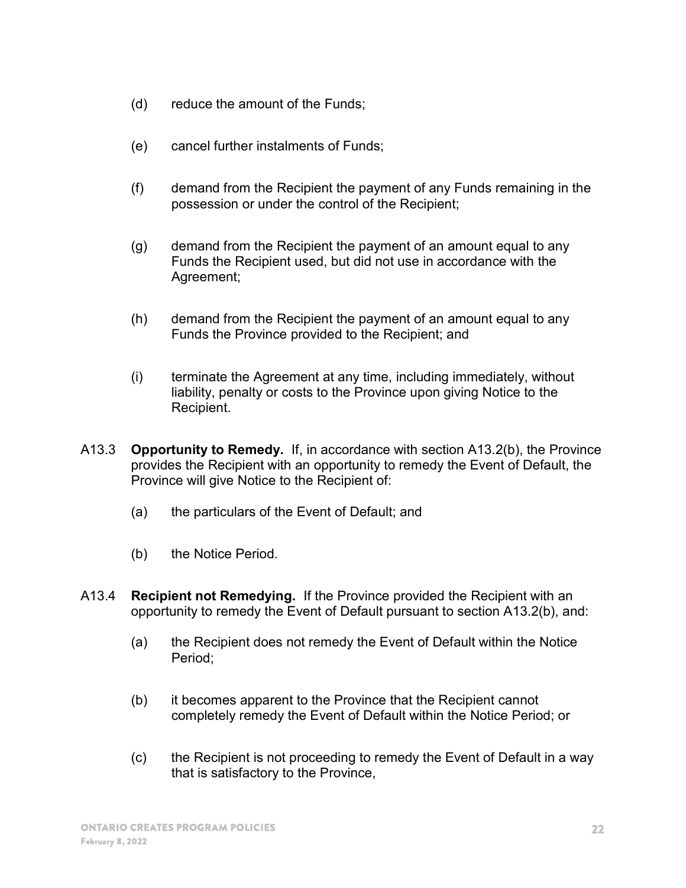- (d) reduce the amount of the Funds;
- (e) cancel further instalments of Funds;
- (f) demand from the Recipient the payment of any Funds remaining in the possession or under the control of the Recipient;
- (g) demand from the Recipient the payment of an amount equal to any Funds the Recipient used, but did not use in accordance with the Agreement;
- (h) demand from the Recipient the payment of an amount equal to any Funds the Province provided to the Recipient; and
- (i) terminate the Agreement at any time, including immediately, without liability, penalty or costs to the Province upon giving Notice to the Recipient.
- A13.3 Opportunity to Remedy. If, in accordance with section A13.2(b), the Province provides the Recipient with an opportunity to remedy the Event of Default, the Province will give Notice to the Recipient of:
	- (a) the particulars of the Event of Default; and
	- (b) the Notice Period.
- A13.4 **Recipient not Remedying.** If the Province provided the Recipient with an opportunity to remedy the Event of Default pursuant to section A13.2(b), and:
	- (a) the Recipient does not remedy the Event of Default within the Notice Period;
	- (b) it becomes apparent to the Province that the Recipient cannot completely remedy the Event of Default within the Notice Period; or
	- (c) the Recipient is not proceeding to remedy the Event of Default in a way that is satisfactory to the Province,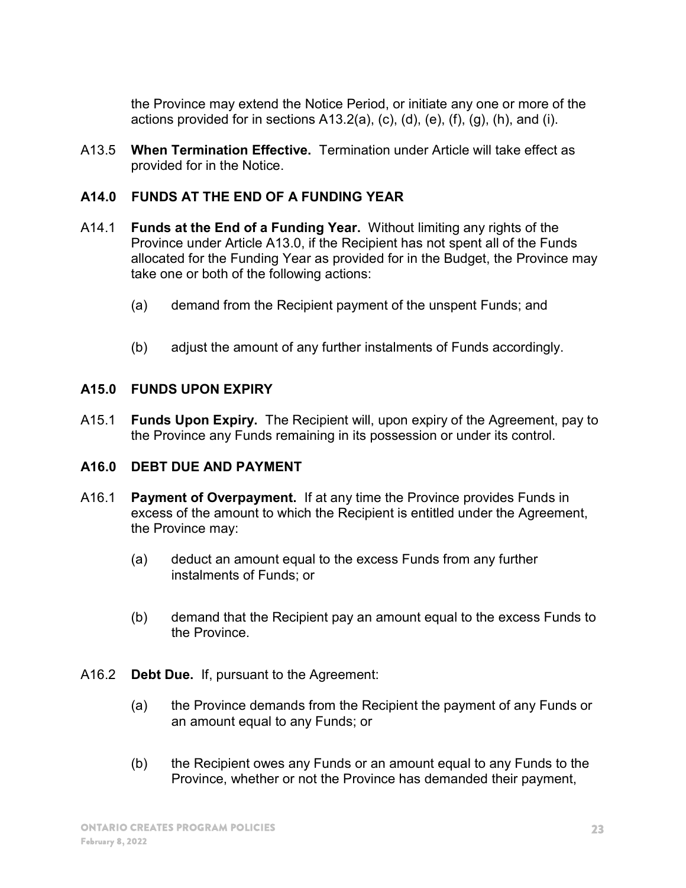the Province may extend the Notice Period, or initiate any one or more of the actions provided for in sections  $A13.2(a)$ , (c), (d), (e), (f), (g), (h), and (i).

A13.5 When Termination Effective. Termination under Article will take effect as provided for in the Notice.

#### A14.0 FUNDS AT THE END OF A FUNDING YEAR

- A14.1 Funds at the End of a Funding Year. Without limiting any rights of the Province under Article A13.0, if the Recipient has not spent all of the Funds allocated for the Funding Year as provided for in the Budget, the Province may take one or both of the following actions:
	- (a) demand from the Recipient payment of the unspent Funds; and
	- (b) adjust the amount of any further instalments of Funds accordingly.

#### A15.0 FUNDS UPON EXPIRY

A15.1 Funds Upon Expiry. The Recipient will, upon expiry of the Agreement, pay to the Province any Funds remaining in its possession or under its control.

#### A16.0 DEBT DUE AND PAYMENT

- A16.1 Payment of Overpayment. If at any time the Province provides Funds in excess of the amount to which the Recipient is entitled under the Agreement, the Province may:
	- (a) deduct an amount equal to the excess Funds from any further instalments of Funds; or
	- (b) demand that the Recipient pay an amount equal to the excess Funds to the Province.
- A16.2 Debt Due. If, pursuant to the Agreement:
	- (a) the Province demands from the Recipient the payment of any Funds or an amount equal to any Funds; or
	- (b) the Recipient owes any Funds or an amount equal to any Funds to the Province, whether or not the Province has demanded their payment,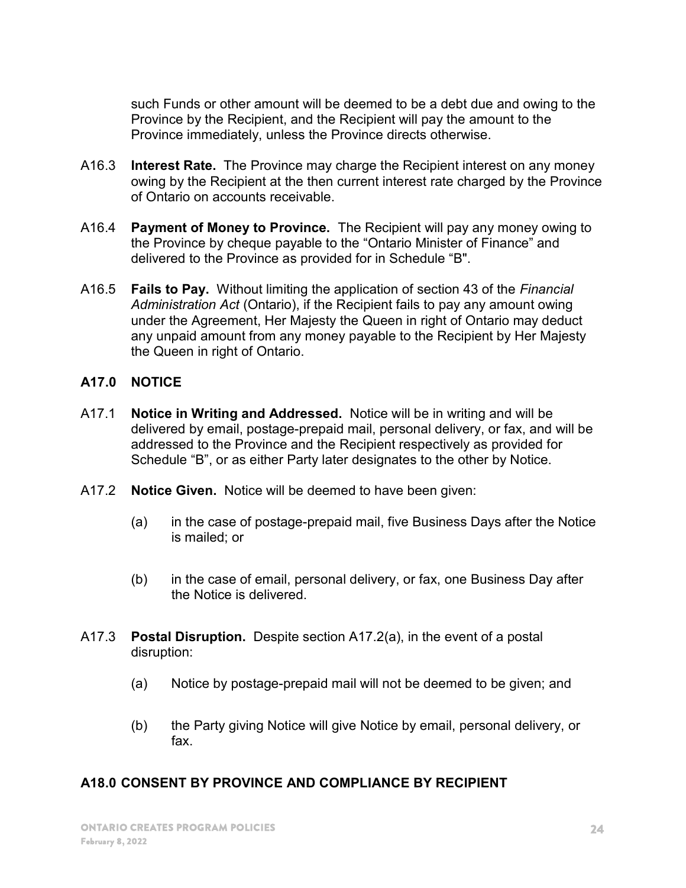such Funds or other amount will be deemed to be a debt due and owing to the Province by the Recipient, and the Recipient will pay the amount to the Province immediately, unless the Province directs otherwise.

- A16.3 Interest Rate. The Province may charge the Recipient interest on any money owing by the Recipient at the then current interest rate charged by the Province of Ontario on accounts receivable.
- A16.4 Payment of Money to Province. The Recipient will pay any money owing to the Province by cheque payable to the "Ontario Minister of Finance" and delivered to the Province as provided for in Schedule "B".
- A16.5 Fails to Pay. Without limiting the application of section 43 of the Financial Administration Act (Ontario), if the Recipient fails to pay any amount owing under the Agreement, Her Majesty the Queen in right of Ontario may deduct any unpaid amount from any money payable to the Recipient by Her Majesty the Queen in right of Ontario.

#### A17.0 NOTICE

- A17.1 Notice in Writing and Addressed. Notice will be in writing and will be delivered by email, postage-prepaid mail, personal delivery, or fax, and will be addressed to the Province and the Recipient respectively as provided for Schedule "B", or as either Party later designates to the other by Notice.
- A17.2 **Notice Given.** Notice will be deemed to have been given:
	- (a) in the case of postage-prepaid mail, five Business Days after the Notice is mailed; or
	- (b) in the case of email, personal delivery, or fax, one Business Day after the Notice is delivered.
- A17.3 Postal Disruption. Despite section A17.2(a), in the event of a postal disruption:
	- (a) Notice by postage-prepaid mail will not be deemed to be given; and
	- (b) the Party giving Notice will give Notice by email, personal delivery, or fax.

# A18.0 CONSENT BY PROVINCE AND COMPLIANCE BY RECIPIENT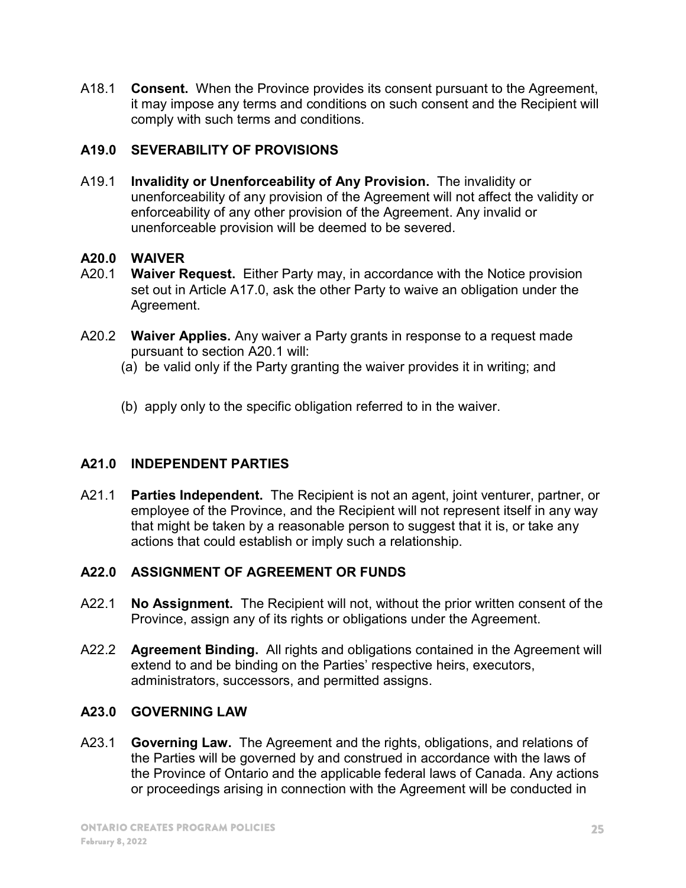A18.1 **Consent.** When the Province provides its consent pursuant to the Agreement, it may impose any terms and conditions on such consent and the Recipient will comply with such terms and conditions.

# A19.0 SEVERABILITY OF PROVISIONS

A19.1 Invalidity or Unenforceability of Any Provision. The invalidity or unenforceability of any provision of the Agreement will not affect the validity or enforceability of any other provision of the Agreement. Any invalid or unenforceable provision will be deemed to be severed.

# A20.0 WAIVER

- A20.1 Waiver Request. Either Party may, in accordance with the Notice provision set out in Article A17.0, ask the other Party to waive an obligation under the Agreement.
- A20.2 Waiver Applies. Any waiver a Party grants in response to a request made pursuant to section A20.1 will:
	- (a) be valid only if the Party granting the waiver provides it in writing; and
	- (b) apply only to the specific obligation referred to in the waiver.

# A21.0 INDEPENDENT PARTIES

A21.1 Parties Independent. The Recipient is not an agent, joint venturer, partner, or employee of the Province, and the Recipient will not represent itself in any way that might be taken by a reasonable person to suggest that it is, or take any actions that could establish or imply such a relationship.

# A22.0 ASSIGNMENT OF AGREEMENT OR FUNDS

- A22.1 **No Assignment.** The Recipient will not, without the prior written consent of the Province, assign any of its rights or obligations under the Agreement.
- A22.2 Agreement Binding. All rights and obligations contained in the Agreement will extend to and be binding on the Parties' respective heirs, executors, administrators, successors, and permitted assigns.

# A23.0 GOVERNING LAW

A23.1 **Governing Law.** The Agreement and the rights, obligations, and relations of the Parties will be governed by and construed in accordance with the laws of the Province of Ontario and the applicable federal laws of Canada. Any actions or proceedings arising in connection with the Agreement will be conducted in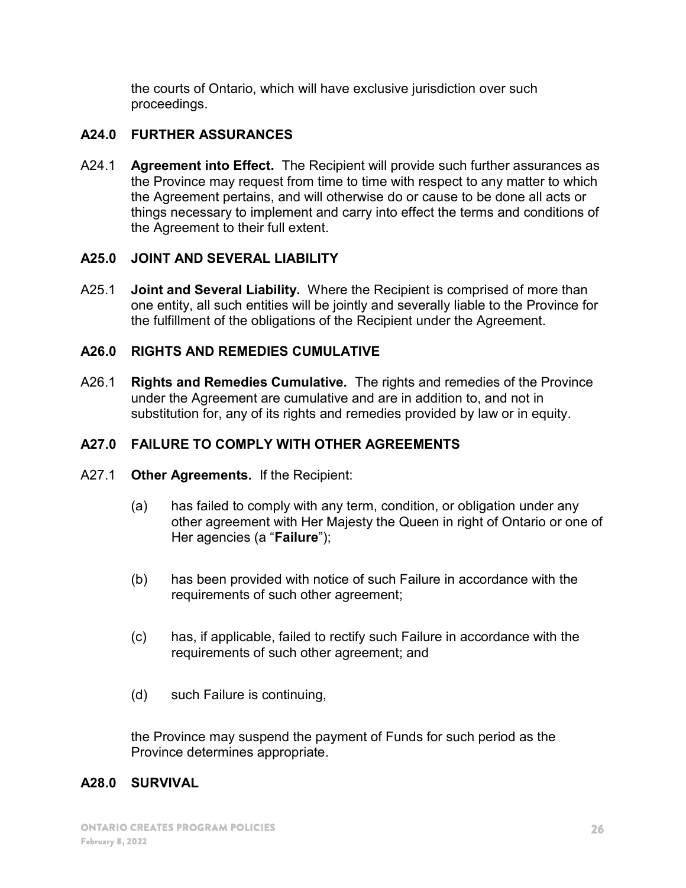the courts of Ontario, which will have exclusive jurisdiction over such proceedings.

# A24.0 FURTHER ASSURANCES

A24.1 Agreement into Effect. The Recipient will provide such further assurances as the Province may request from time to time with respect to any matter to which the Agreement pertains, and will otherwise do or cause to be done all acts or things necessary to implement and carry into effect the terms and conditions of the Agreement to their full extent.

#### A25.0 JOINT AND SEVERAL LIABILITY

A25.1 **Joint and Several Liability.** Where the Recipient is comprised of more than one entity, all such entities will be jointly and severally liable to the Province for the fulfillment of the obligations of the Recipient under the Agreement.

#### A26.0 RIGHTS AND REMEDIES CUMULATIVE

A26.1 Rights and Remedies Cumulative. The rights and remedies of the Province under the Agreement are cumulative and are in addition to, and not in substitution for, any of its rights and remedies provided by law or in equity.

# A27.0 FAILURE TO COMPLY WITH OTHER AGREEMENTS

- A27.1 Other Agreements. If the Recipient:
	- (a) has failed to comply with any term, condition, or obligation under any other agreement with Her Majesty the Queen in right of Ontario or one of Her agencies (a "Failure");
	- (b) has been provided with notice of such Failure in accordance with the requirements of such other agreement;
	- (c) has, if applicable, failed to rectify such Failure in accordance with the requirements of such other agreement; and
	- (d) such Failure is continuing,

the Province may suspend the payment of Funds for such period as the Province determines appropriate.

#### A28.0 SURVIVAL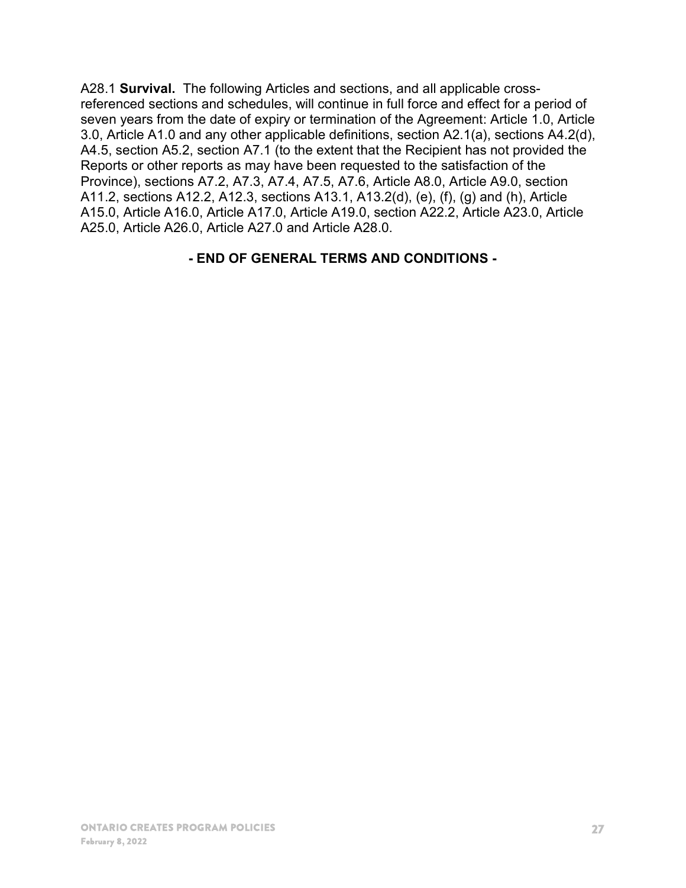A28.1 Survival. The following Articles and sections, and all applicable crossreferenced sections and schedules, will continue in full force and effect for a period of seven years from the date of expiry or termination of the Agreement: Article 1.0, Article 3.0, Article A1.0 and any other applicable definitions, section A2.1(a), sections A4.2(d), A4.5, section A5.2, section A7.1 (to the extent that the Recipient has not provided the Reports or other reports as may have been requested to the satisfaction of the Province), sections A7.2, A7.3, A7.4, A7.5, A7.6, Article A8.0, Article A9.0, section A11.2, sections A12.2, A12.3, sections A13.1, A13.2(d), (e), (f), (g) and (h), Article A15.0, Article A16.0, Article A17.0, Article A19.0, section A22.2, Article A23.0, Article A25.0, Article A26.0, Article A27.0 and Article A28.0.

#### - END OF GENERAL TERMS AND CONDITIONS -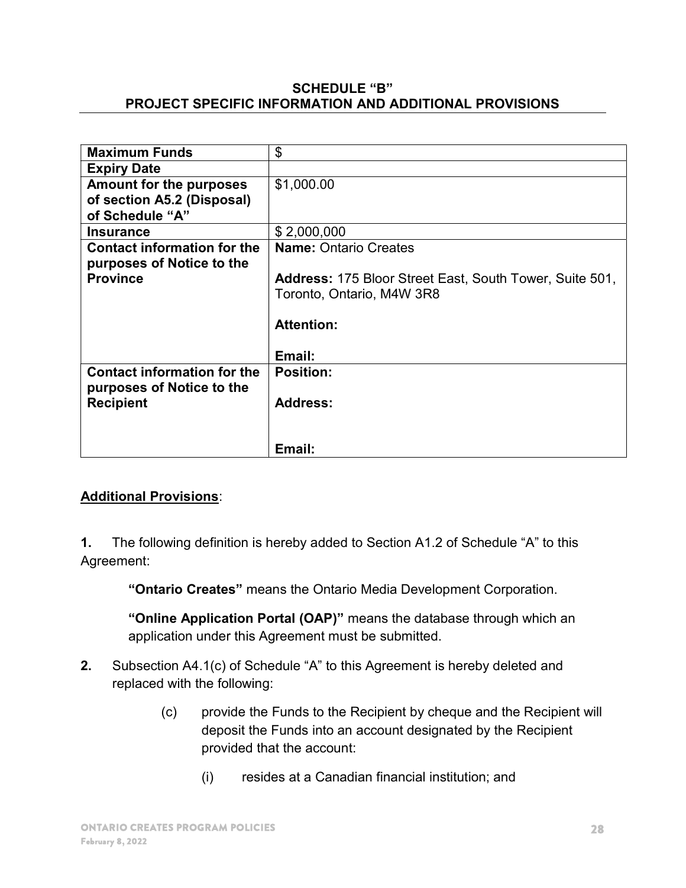#### SCHEDULE "B" PROJECT SPECIFIC INFORMATION AND ADDITIONAL PROVISIONS

| <b>Maximum Funds</b>               | \$                                                             |
|------------------------------------|----------------------------------------------------------------|
| <b>Expiry Date</b>                 |                                                                |
| <b>Amount for the purposes</b>     | \$1,000.00                                                     |
| of section A5.2 (Disposal)         |                                                                |
| of Schedule "A"                    |                                                                |
| <b>Insurance</b>                   | \$2,000,000                                                    |
| <b>Contact information for the</b> | <b>Name: Ontario Creates</b>                                   |
| purposes of Notice to the          |                                                                |
| <b>Province</b>                    | <b>Address: 175 Bloor Street East, South Tower, Suite 501,</b> |
|                                    | Toronto, Ontario, M4W 3R8                                      |
|                                    |                                                                |
|                                    | <b>Attention:</b>                                              |
|                                    |                                                                |
|                                    | Email:                                                         |
| <b>Contact information for the</b> | <b>Position:</b>                                               |
| purposes of Notice to the          |                                                                |
| <b>Recipient</b>                   | <b>Address:</b>                                                |
|                                    |                                                                |
|                                    |                                                                |
|                                    | Email:                                                         |

# Additional Provisions:

1. The following definition is hereby added to Section A1.2 of Schedule "A" to this Agreement:

"Ontario Creates" means the Ontario Media Development Corporation.

"Online Application Portal (OAP)" means the database through which an application under this Agreement must be submitted.

- 2. Subsection A4.1(c) of Schedule "A" to this Agreement is hereby deleted and replaced with the following:
	- (c) provide the Funds to the Recipient by cheque and the Recipient will deposit the Funds into an account designated by the Recipient provided that the account:
		- (i) resides at a Canadian financial institution; and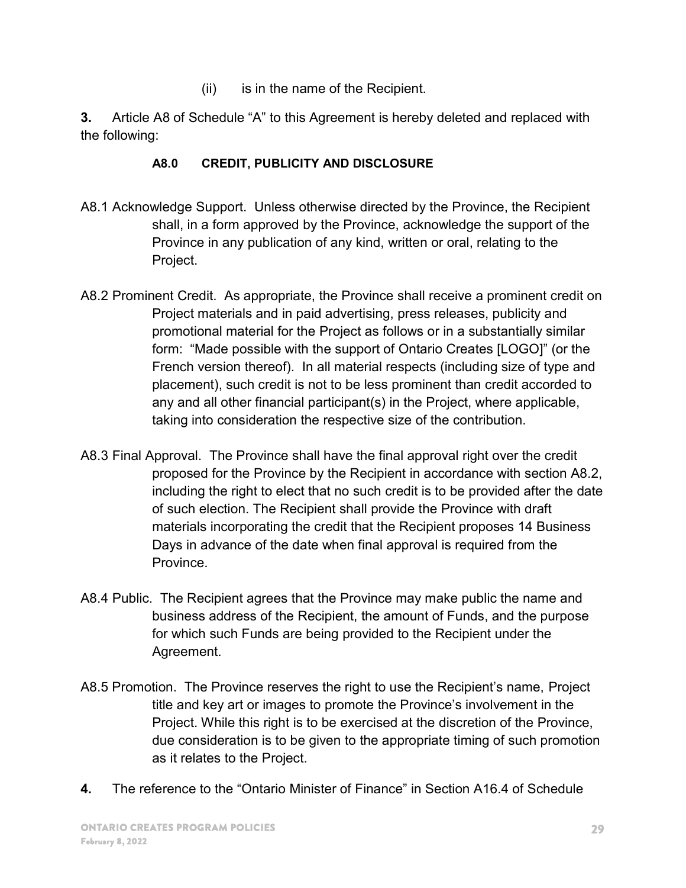(ii) is in the name of the Recipient.

3. Article A8 of Schedule "A" to this Agreement is hereby deleted and replaced with the following:

# A8.0 CREDIT, PUBLICITY AND DISCLOSURE

- A8.1 Acknowledge Support. Unless otherwise directed by the Province, the Recipient shall, in a form approved by the Province, acknowledge the support of the Province in any publication of any kind, written or oral, relating to the Project.
- A8.2 Prominent Credit. As appropriate, the Province shall receive a prominent credit on Project materials and in paid advertising, press releases, publicity and promotional material for the Project as follows or in a substantially similar form: "Made possible with the support of Ontario Creates [LOGO]" (or the French version thereof). In all material respects (including size of type and placement), such credit is not to be less prominent than credit accorded to any and all other financial participant(s) in the Project, where applicable, taking into consideration the respective size of the contribution.
- A8.3 Final Approval. The Province shall have the final approval right over the credit proposed for the Province by the Recipient in accordance with section A8.2, including the right to elect that no such credit is to be provided after the date of such election. The Recipient shall provide the Province with draft materials incorporating the credit that the Recipient proposes 14 Business Days in advance of the date when final approval is required from the Province.
- A8.4 Public. The Recipient agrees that the Province may make public the name and business address of the Recipient, the amount of Funds, and the purpose for which such Funds are being provided to the Recipient under the Agreement.
- A8.5 Promotion. The Province reserves the right to use the Recipient's name, Project title and key art or images to promote the Province's involvement in the Project. While this right is to be exercised at the discretion of the Province, due consideration is to be given to the appropriate timing of such promotion as it relates to the Project.
- 4. The reference to the "Ontario Minister of Finance" in Section A16.4 of Schedule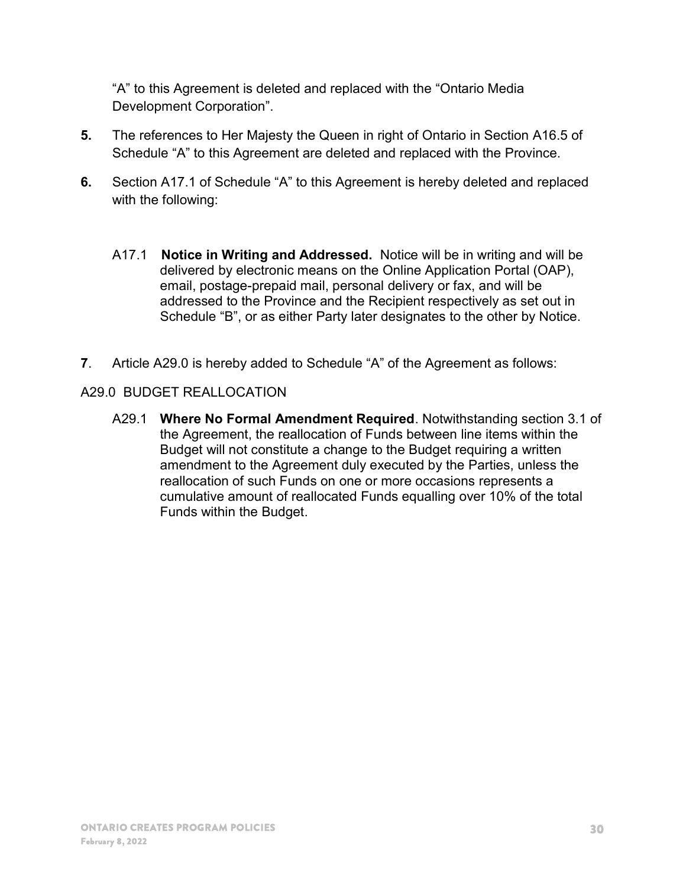"A" to this Agreement is deleted and replaced with the "Ontario Media Development Corporation".

- 5. The references to Her Majesty the Queen in right of Ontario in Section A16.5 of Schedule "A" to this Agreement are deleted and replaced with the Province.
- 6. Section A17.1 of Schedule "A" to this Agreement is hereby deleted and replaced with the following:
	- A17.1 Notice in Writing and Addressed. Notice will be in writing and will be delivered by electronic means on the Online Application Portal (OAP), email, postage-prepaid mail, personal delivery or fax, and will be addressed to the Province and the Recipient respectively as set out in Schedule "B", or as either Party later designates to the other by Notice.
- 7. Article A29.0 is hereby added to Schedule "A" of the Agreement as follows:

#### A29.0 BUDGET REALLOCATION

 A29.1 Where No Formal Amendment Required. Notwithstanding section 3.1 of the Agreement, the reallocation of Funds between line items within the Budget will not constitute a change to the Budget requiring a written amendment to the Agreement duly executed by the Parties, unless the reallocation of such Funds on one or more occasions represents a cumulative amount of reallocated Funds equalling over 10% of the total Funds within the Budget.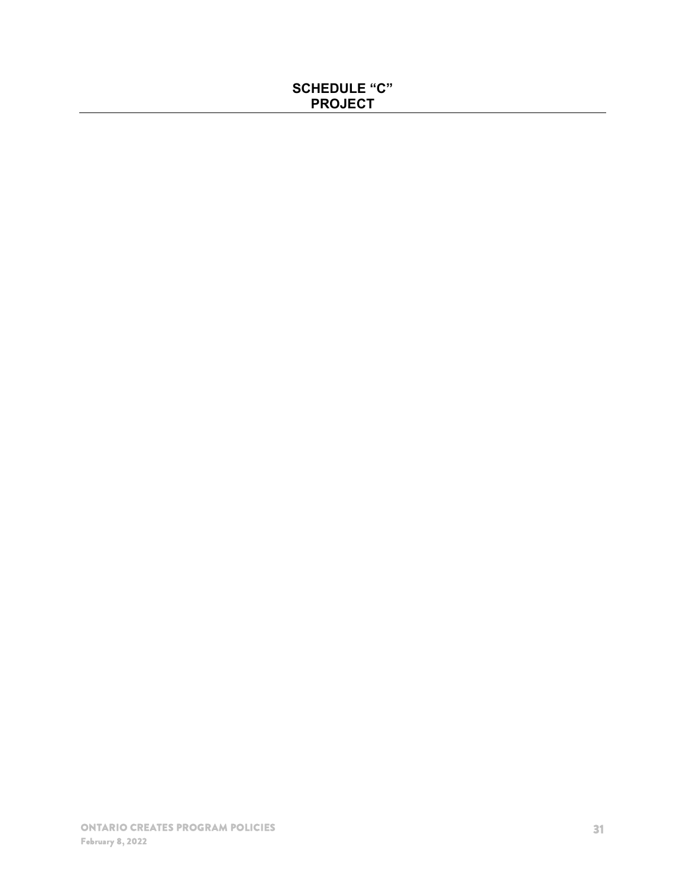# SCHEDULE "C" PROJECT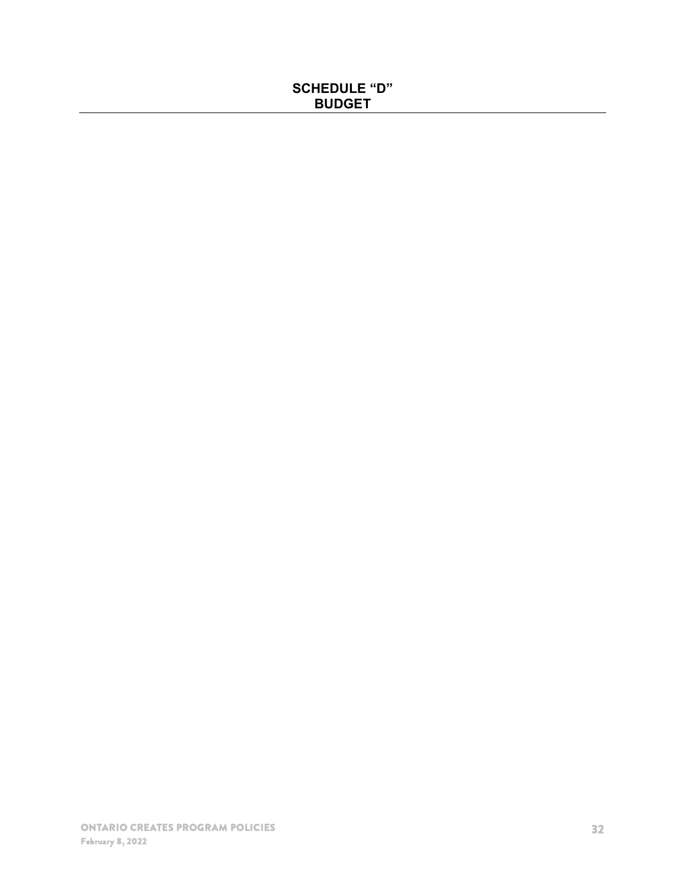# SCHEDULE "D" BUDGET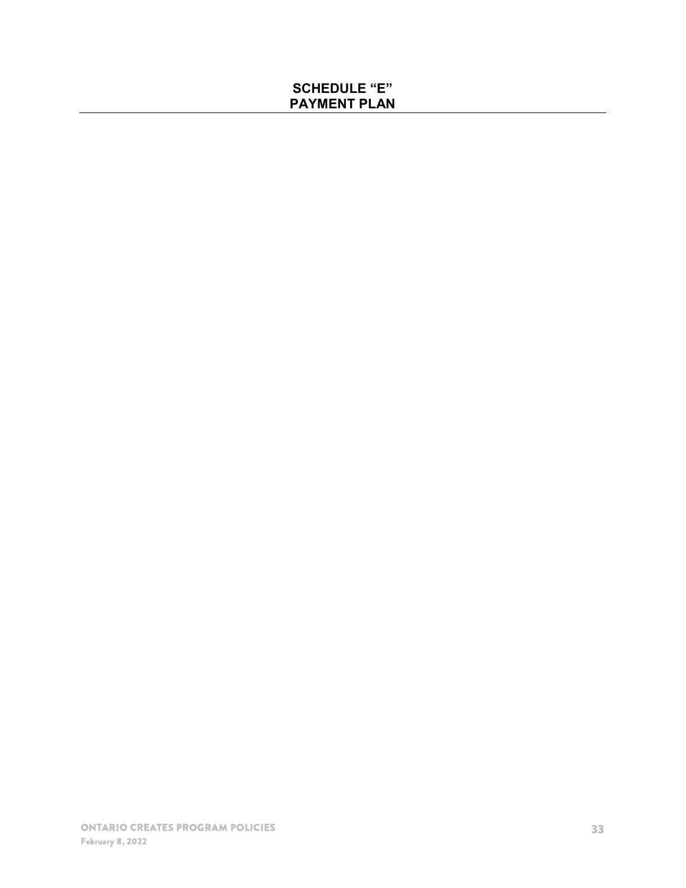# SCHEDULE "E" PAYMENT PLAN